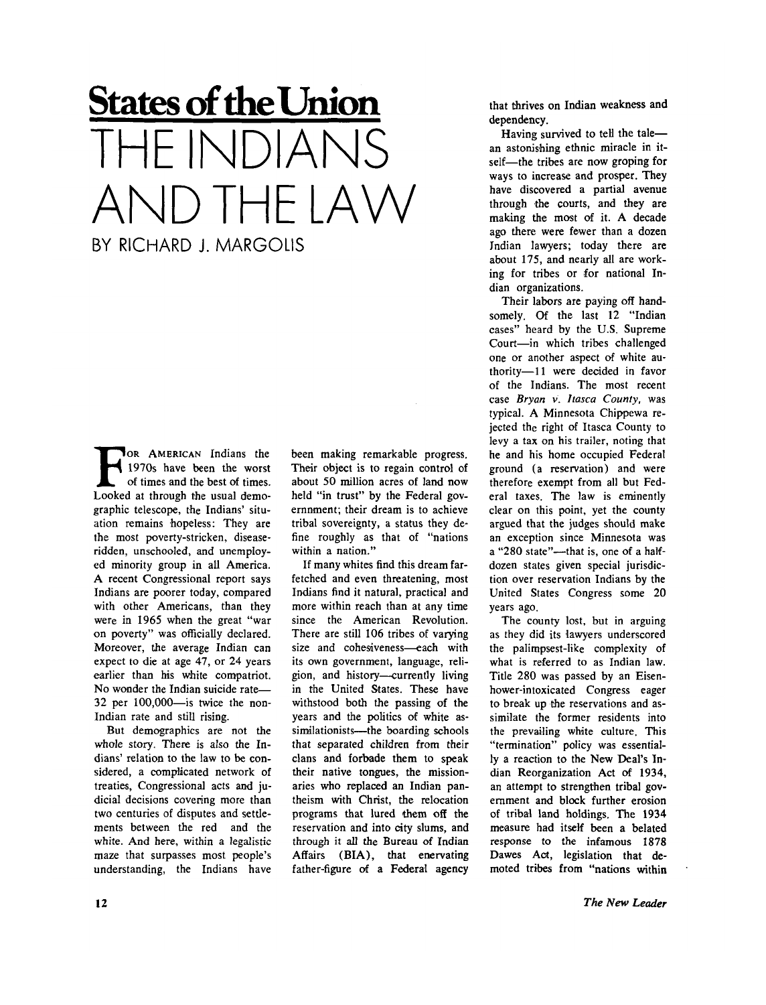## **States of the Union**  HF INDIANS AND THE LAW BY RICHARD J. MARGOLIS

FOR AMERICAN Indians the 1970s have been the worst of times and the best of times.<br>Looked at through the usual demo-**JOR AMERICAN Indians the** 1970s have been the worst of times and the best of times. graphic telescope, the Indians' situation remains hopeless: They are the most poverty-stricken, diseaseridden, unschooled, and unemployed minority group in all America. A recent Congressional report says Indians are poorer today, compared with other Americans, than they were in 1965 when the great "war on poverty" was officially declared. Moreover, the average Indian can expect to die at age 47, or 24 years earlier than his white compatriot. No wonder the Indian suicide rate-32 per 100,000—is twice the non-Indian rate and still rising.

But demographics are not the whole story. There is also the Indians' relation to the law to be considered, a complicated network of treaties, Congressional acts and judicial decisions covering more than two centuries of disputes and settlements between the red and the white. And here, within a legalistic maze that surpasses most people's understanding, the Indians have

been making remarkable progress. Their object is to regain control of about 50 million acres of land now held "in trust" by the Federal government; their dream is to achieve tribal sovereignty, a status they define roughly as that of "nations within a nation."

If many whites find this dream farfetched and even threatening, most Indians find it natural, practical and more within reach than at any time since the American Revolution. There are still 106 tribes of varying size and cohesiveness—each with its own government, language, religion, and history—currently living in the United States. These have withstood both the passing of the years and the politics of white assimilationists—the boarding schools that separated children from their clans and forbade them to speak their native tongues, the missionaries who replaced an Indian pantheism with Christ, the relocation programs that lured them off the reservation and into city slums, and through it all the Bureau of Indian Affairs (BIA), that enervating father-figure of a Federal agency

that thrives on Indian weakness and dependency.

Having survived to tell the tale an astonishing ethnic miracle in itself—the tribes are now groping for ways to increase and prosper. They have discovered a partial avenue through the courts, and they are making the most of it. A decade ago there were fewer than a dozen Indian lawyers; today there are about 175, and nearly all are working for tribes or for national Indian organizations.

Their labors are paying off handsomely. Of the last 12 "Indian cases" heard by the U.S. Supreme Court—in which tribes challenged one or another aspect of white authority—11 were decided in favor of the Indians. The most recent case *Bryan* v. *Itasca County,* was typical. A Minnesota Chippewa rejected the right of Itasca County to levy a tax on his trailer, noting that he and his home occupied Federal ground (a reservation) and were therefore exempt from all but Federal taxes. The law is eminently clear on this point, yet the county argued that the judges should make an exception since Minnesota was a "280 state"—that is, one of a halfdozen states given special jurisdiction over reservation Indians by the United States Congress some 20 years ago.

The county lost, but in arguing as they did its lawyers underscored the palimpsest-like complexity of what is referred to as Indian law. Title 280 was passed by an Eisenhower-intoxicated Congress eager to break up the reservations and assimilate the former residents into the prevailing white culture. This "termination" policy was essentially a reaction to the New Deal's Indian Reorganization Act of 1934, an attempt to strengthen tribal government and block further erosion of tribal land holdings. The 1934 measure had itself been a belated response to the infamous 1878 Dawes Act, legislation that demoted tribes from "nations within